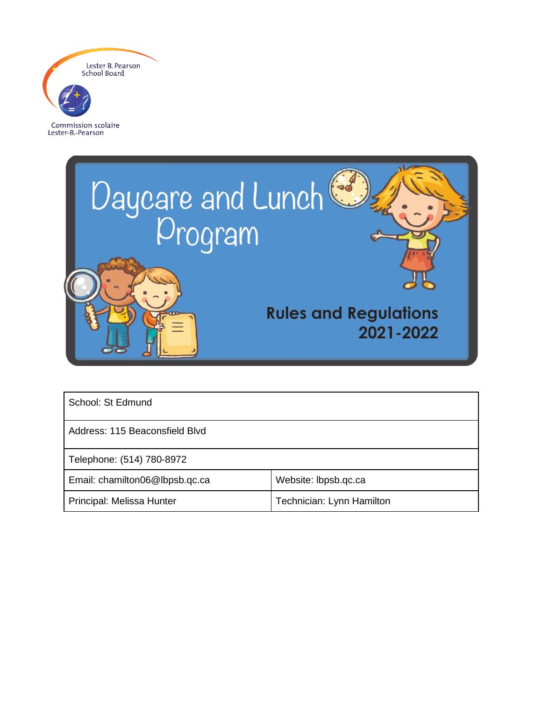

Lester-B.-Pearson



| School: St Edmund              |                           |  |
|--------------------------------|---------------------------|--|
| Address: 115 Beaconsfield Blvd |                           |  |
| Telephone: (514) 780-8972      |                           |  |
| Email: chamilton06@lbpsb.qc.ca | Website: Ibpsb.qc.ca      |  |
| Principal: Melissa Hunter      | Technician: Lynn Hamilton |  |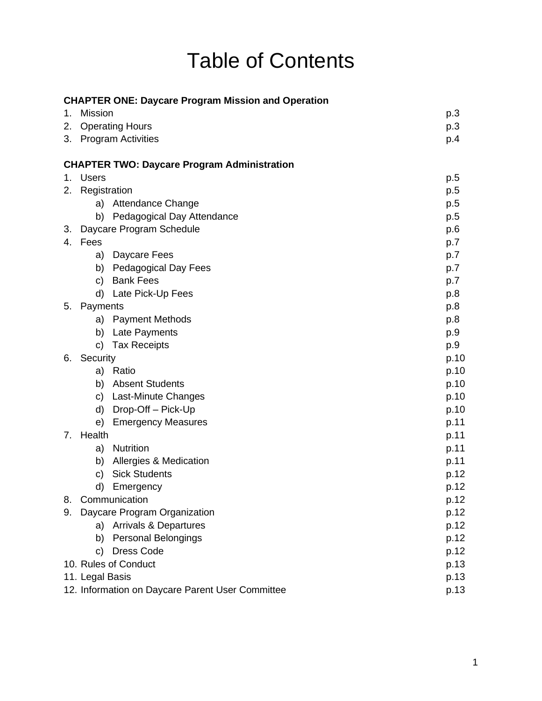# Table of Contents

|    | <b>CHAPTER ONE: Daycare Program Mission and Operation</b> |      |
|----|-----------------------------------------------------------|------|
| 1. | <b>Mission</b>                                            | p.3  |
| 2. | <b>Operating Hours</b>                                    | p.3  |
| 3. | <b>Program Activities</b>                                 | p.4  |
|    | <b>CHAPTER TWO: Daycare Program Administration</b>        |      |
| 1. | <b>Users</b>                                              | p.5  |
| 2. | Registration                                              | p.5  |
|    | <b>Attendance Change</b><br>a)                            | p.5  |
|    | b) Pedagogical Day Attendance                             | p.5  |
| 3. | Daycare Program Schedule                                  | p.6  |
|    | 4. Fees                                                   | p.7  |
|    | Daycare Fees<br>a)                                        | p.7  |
|    | b)<br><b>Pedagogical Day Fees</b>                         | p.7  |
|    | <b>Bank Fees</b><br>C)                                    | p.7  |
|    | d) Late Pick-Up Fees                                      | p.8  |
| 5. | Payments                                                  | p.8  |
|    | <b>Payment Methods</b><br>a)                              | p.8  |
|    | b) Late Payments                                          | p.9  |
|    | <b>Tax Receipts</b><br>C)                                 | p.9  |
| 6. | Security                                                  | p.10 |
|    | a) Ratio                                                  | p.10 |
|    | <b>Absent Students</b><br>b)                              | p.10 |
|    | c) Last-Minute Changes                                    | p.10 |
|    | Drop-Off - Pick-Up<br>d)                                  | p.10 |
|    | <b>Emergency Measures</b><br>e)                           | p.11 |
| 7. | Health                                                    | p.11 |
|    | <b>Nutrition</b><br>a)                                    | p.11 |
|    | Allergies & Medication<br>b)                              | p.11 |
|    | <b>Sick Students</b><br>C)                                | p.12 |
|    | d)<br>Emergency                                           | p.12 |
| 8. | Communication                                             | p.12 |
| 9. | Daycare Program Organization                              | p.12 |
|    | a) Arrivals & Departures                                  | p.12 |
|    | <b>Personal Belongings</b><br>b)                          | p.12 |
|    | Dress Code<br>C)                                          | p.12 |
|    | 10. Rules of Conduct                                      | p.13 |
|    | 11. Legal Basis                                           | p.13 |
|    | 12. Information on Daycare Parent User Committee          | p.13 |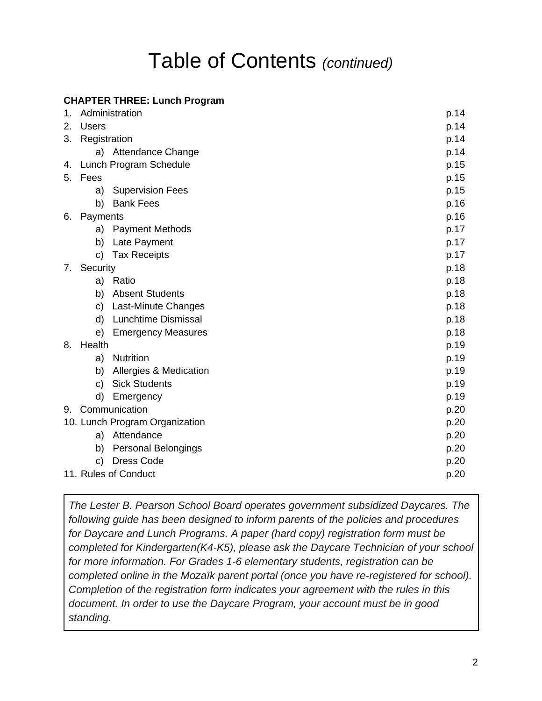## Table of Contents *(continued)*

## **CHAPTER THREE: Lunch Program**

| 1. | Administration                   | p.14 |
|----|----------------------------------|------|
| 2. | <b>Users</b>                     | p.14 |
| 3. | Registration                     | p.14 |
|    | a) Attendance Change             | p.14 |
|    | 4. Lunch Program Schedule        | p.15 |
| 5. | Fees                             | p.15 |
|    | <b>Supervision Fees</b><br>a)    | p.15 |
|    | <b>Bank Fees</b><br>b)           | p.16 |
| 6. | Payments                         | p.16 |
|    | <b>Payment Methods</b><br>a)     | p.17 |
|    | b)<br>Late Payment               | p.17 |
|    | <b>Tax Receipts</b><br>C)        | p.17 |
| 7. | Security                         | p.18 |
|    | a) Ratio                         | p.18 |
|    | b) Absent Students               | p.18 |
|    | Last-Minute Changes<br>C)        | p.18 |
|    | <b>Lunchtime Dismissal</b><br>d) | p.18 |
|    | <b>Emergency Measures</b><br>e)  | p.18 |
| 8. | Health                           | p.19 |
|    | a) Nutrition                     | p.19 |
|    | Allergies & Medication<br>b)     | p.19 |
|    | <b>Sick Students</b><br>C)       | p.19 |
|    | d)<br>Emergency                  | p.19 |
|    | 9. Communication                 | p.20 |
|    | 10. Lunch Program Organization   | p.20 |
|    | a) Attendance                    | p.20 |
|    | <b>Personal Belongings</b><br>b) | p.20 |
|    | <b>Dress Code</b><br>c)          | p.20 |
|    | 11. Rules of Conduct             | p.20 |
|    |                                  |      |

*The Lester B. Pearson School Board operates government subsidized Daycares. The following guide has been designed to inform parents of the policies and procedures for Daycare and Lunch Programs. A paper (hard copy) registration form must be completed for Kindergarten(K4-K5), please ask the Daycare Technician of your school for more information. For Grades 1-6 elementary students, registration can be completed online in the Mozaïk parent portal (once you have re-registered for school). Completion of the registration form indicates your agreement with the rules in this document. In order to use the Daycare Program, your account must be in good standing.*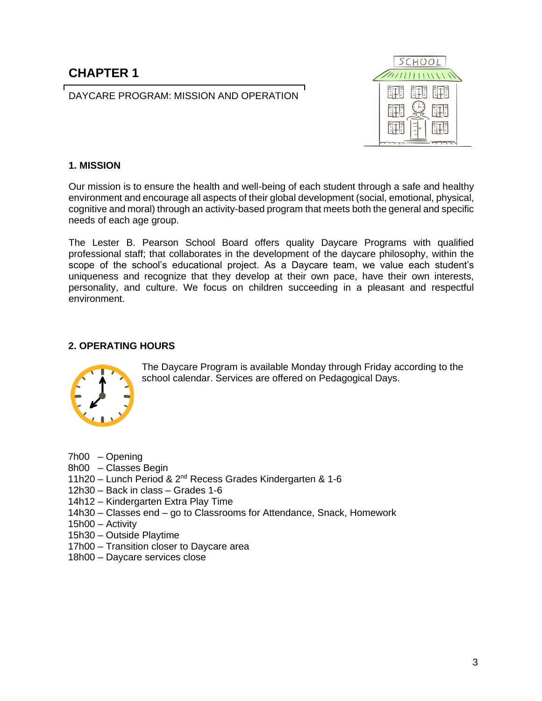## **CHAPTER 1**

DAYCARE PROGRAM: MISSION AND OPERATION



#### **1. MISSION**

Our mission is to ensure the health and well-being of each student through a safe and healthy environment and encourage all aspects of their global development (social, emotional, physical, cognitive and moral) through an activity-based program that meets both the general and specific needs of each age group.

The Lester B. Pearson School Board offers quality Daycare Programs with qualified professional staff; that collaborates in the development of the daycare philosophy, within the scope of the school's educational project. As a Daycare team, we value each student's uniqueness and recognize that they develop at their own pace, have their own interests, personality, and culture. We focus on children succeeding in a pleasant and respectful environment.

#### **2. OPERATING HOURS**



The Daycare Program is available Monday through Friday according to the school calendar. Services are offered on Pedagogical Days.

- 7h00 Opening
- 8h00 Classes Begin
- 11h20 Lunch Period & 2nd Recess Grades Kindergarten & 1-6
- 12h30 Back in class Grades 1-6
- 14h12 Kindergarten Extra Play Time
- 14h30 Classes end go to Classrooms for Attendance, Snack, Homework
- 15h00 Activity
- 15h30 Outside Playtime
- 17h00 Transition closer to Daycare area
- 18h00 Daycare services close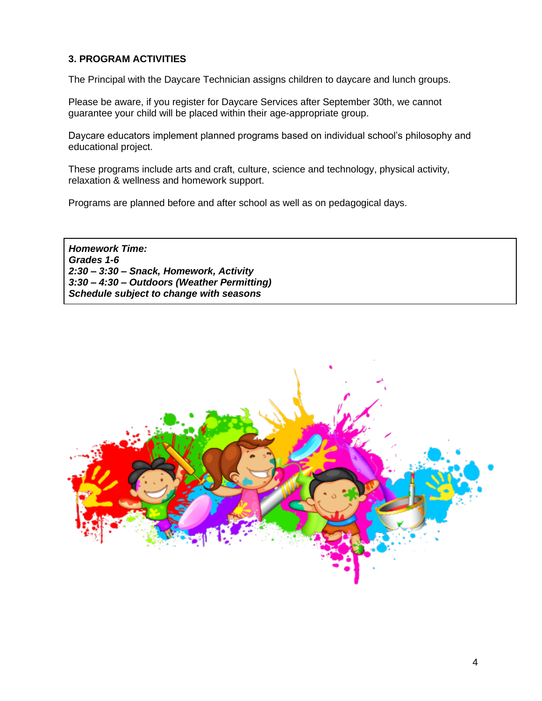## **3. PROGRAM ACTIVITIES**

The Principal with the Daycare Technician assigns children to daycare and lunch groups.

Please be aware, if you register for Daycare Services after September 30th, we cannot guarantee your child will be placed within their age-appropriate group.

Daycare educators implement planned programs based on individual school's philosophy and educational project.

These programs include arts and craft, culture, science and technology, physical activity, relaxation & wellness and homework support.

Programs are planned before and after school as well as on pedagogical days.

*Homework Time: Grades 1-6 2:30 – 3:30 – Snack, Homework, Activity 3:30 – 4:30 – Outdoors (Weather Permitting) Schedule subject to change with seasons*

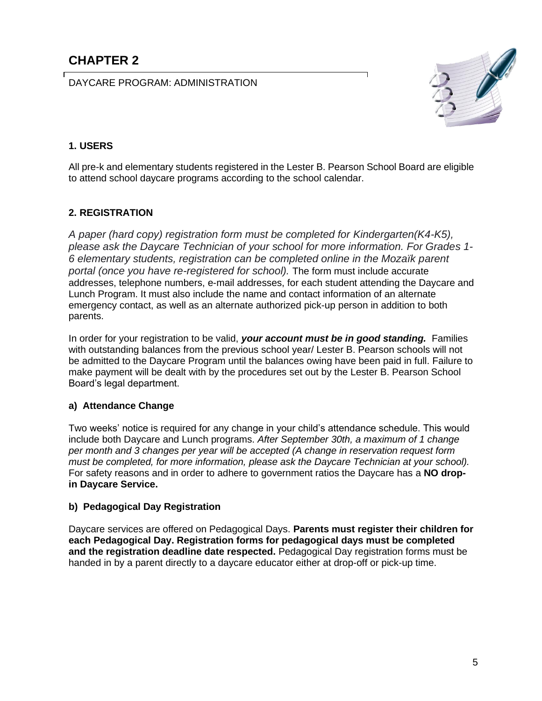DAYCARE PROGRAM: ADMINISTRATION



## **1. USERS**

All pre-k and elementary students registered in the Lester B. Pearson School Board are eligible to attend school daycare programs according to the school calendar.

## **2. REGISTRATION**

*A paper (hard copy) registration form must be completed for Kindergarten(K4-K5), please ask the Daycare Technician of your school for more information. For Grades 1- 6 elementary students, registration can be completed online in the Mozaïk parent portal (once you have re-registered for school).* The form must include accurate addresses, telephone numbers, e-mail addresses, for each student attending the Daycare and Lunch Program. It must also include the name and contact information of an alternate emergency contact, as well as an alternate authorized pick-up person in addition to both parents.

In order for your registration to be valid, *your account must be in good standing.* Families with outstanding balances from the previous school year/ Lester B. Pearson schools will not be admitted to the Daycare Program until the balances owing have been paid in full. Failure to make payment will be dealt with by the procedures set out by the Lester B. Pearson School Board's legal department.

## **a) Attendance Change**

Two weeks' notice is required for any change in your child's attendance schedule. This would include both Daycare and Lunch programs. *After September 30th, a maximum of 1 change per month and 3 changes per year will be accepted (A change in reservation request form must be completed, for more information, please ask the Daycare Technician at your school).* For safety reasons and in order to adhere to government ratios the Daycare has a **NO dropin Daycare Service.**

## **b) Pedagogical Day Registration**

Daycare services are offered on Pedagogical Days. **Parents must register their children for each Pedagogical Day. Registration forms for pedagogical days must be completed and the registration deadline date respected.** Pedagogical Day registration forms must be handed in by a parent directly to a daycare educator either at drop-off or pick-up time.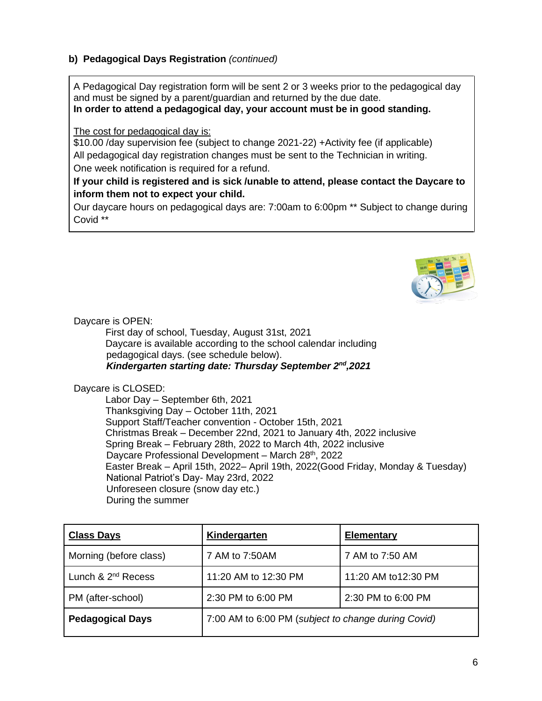## **b) Pedagogical Days Registration** *(continued)*

A Pedagogical Day registration form will be sent 2 or 3 weeks prior to the pedagogical day and must be signed by a parent/guardian and returned by the due date. **In order to attend a pedagogical day, your account must be in good standing.**

The cost for pedagogical day is:

\$10.00 /day supervision fee (subject to change 2021-22) +Activity fee (if applicable) All pedagogical day registration changes must be sent to the Technician in writing. One week notification is required for a refund.

## **If your child is registered and is sick /unable to attend, please contact the Daycare to inform them not to expect your child.**

Our daycare hours on pedagogical days are: 7:00am to 6:00pm \*\* Subject to change during Covid \*\*



Daycare is OPEN:

First day of school, Tuesday, August 31st, 2021 Daycare is available according to the school calendar including pedagogical days. (see schedule below). *Kindergarten starting date: Thursday September 2nd,2021*

Daycare is CLOSED:

Labor Day – September 6th, 2021 Thanksgiving Day – October 11th, 2021 Support Staff/Teacher convention - October 15th, 2021 Christmas Break – December 22nd, 2021 to January 4th, 2022 inclusive Spring Break – February 28th, 2022 to March 4th, 2022 inclusive Daycare Professional Development – March 28<sup>th</sup>, 2022 Easter Break – April 15th, 2022– April 19th, 2022(Good Friday, Monday & Tuesday) National Patriot's Day- May 23rd, 2022 Unforeseen closure (snow day etc.) During the summer

| <b>Class Days</b>       | Kindergarten                                        | <b>Elementary</b>    |
|-------------------------|-----------------------------------------------------|----------------------|
| Morning (before class)  | 7 AM to 7:50AM                                      | 7 AM to 7:50 AM      |
| Lunch & $2^{nd}$ Recess | 11:20 AM to 12:30 PM                                | 11:20 AM to 12:30 PM |
| PM (after-school)       | 2:30 PM to 6:00 PM                                  | 2:30 PM to 6:00 PM   |
| <b>Pedagogical Days</b> | 7:00 AM to 6:00 PM (subject to change during Covid) |                      |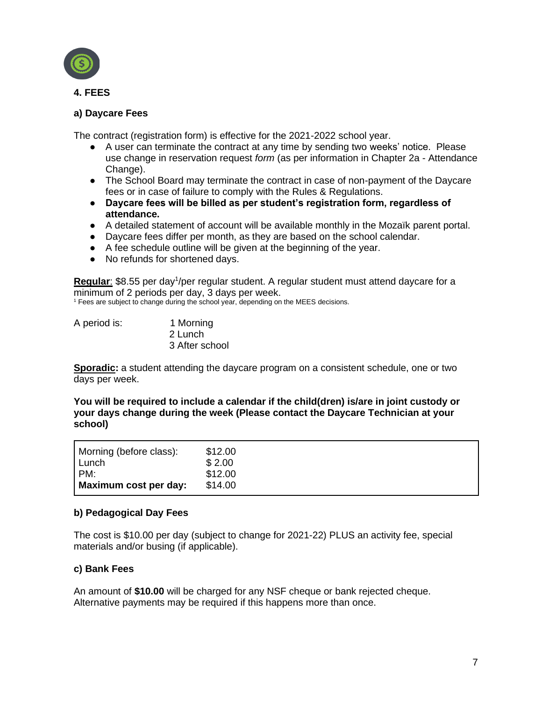

## **a) Daycare Fees**

The contract (registration form) is effective for the 2021-2022 school year.

- A user can terminate the contract at any time by sending two weeks' notice. Please use change in reservation request *form* (as per information in Chapter 2a - Attendance Change).
- The School Board may terminate the contract in case of non-payment of the Daycare fees or in case of failure to comply with the Rules & Regulations.
- **Daycare fees will be billed as per student's registration form, regardless of attendance.**
- A detailed statement of account will be available monthly in the Mozaïk parent portal.
- Daycare fees differ per month, as they are based on the school calendar.
- A fee schedule outline will be given at the beginning of the year.
- No refunds for shortened days.

Regular: \$8.55 per day<sup>1</sup>/per regular student. A regular student must attend daycare for a minimum of 2 periods per day, 3 days per week.

<sup>1</sup> Fees are subject to change during the school year, depending on the MEES decisions.

| A period is: | 1 Morning      |
|--------------|----------------|
|              | 2 Lunch        |
|              | 3 After school |

**Sporadic:** a student attending the daycare program on a consistent schedule, one or two days per week.

**You will be required to include a calendar if the child(dren) is/are in joint custody or your days change during the week (Please contact the Daycare Technician at your school)**

| Morning (before class): | \$12.00 |
|-------------------------|---------|
| Lunch                   | \$2.00  |
| PM:                     | \$12.00 |
| Maximum cost per day:   | \$14.00 |

#### **b) Pedagogical Day Fees**

The cost is \$10.00 per day (subject to change for 2021-22) PLUS an activity fee, special materials and/or busing (if applicable).

#### **c) Bank Fees**

An amount of **\$10.00** will be charged for any NSF cheque or bank rejected cheque. Alternative payments may be required if this happens more than once.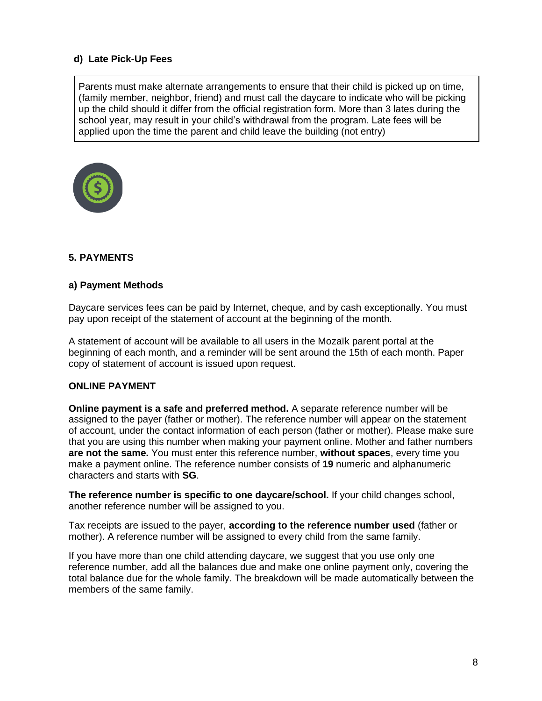## **d) Late Pick-Up Fees**

Parents must make alternate arrangements to ensure that their child is picked up on time, (family member, neighbor, friend) and must call the daycare to indicate who will be picking up the child should it differ from the official registration form. More than 3 lates during the school year, may result in your child's withdrawal from the program. Late fees will be applied upon the time the parent and child leave the building (not entry)



## **5. PAYMENTS**

## **a) Payment Methods**

Daycare services fees can be paid by Internet, cheque, and by cash exceptionally. You must pay upon receipt of the statement of account at the beginning of the month.

A statement of account will be available to all users in the Mozaïk parent portal at the beginning of each month, and a reminder will be sent around the 15th of each month. Paper copy of statement of account is issued upon request.

#### **ONLINE PAYMENT**

**Online payment is a safe and preferred method.** A separate reference number will be assigned to the payer (father or mother). The reference number will appear on the statement of account, under the contact information of each person (father or mother). Please make sure that you are using this number when making your payment online. Mother and father numbers **are not the same.** You must enter this reference number, **without spaces**, every time you make a payment online. The reference number consists of **19** numeric and alphanumeric characters and starts with **SG**.

**The reference number is specific to one daycare/school.** If your child changes school, another reference number will be assigned to you.

Tax receipts are issued to the payer, **according to the reference number used** (father or mother). A reference number will be assigned to every child from the same family.

If you have more than one child attending daycare, we suggest that you use only one reference number, add all the balances due and make one online payment only, covering the total balance due for the whole family. The breakdown will be made automatically between the members of the same family.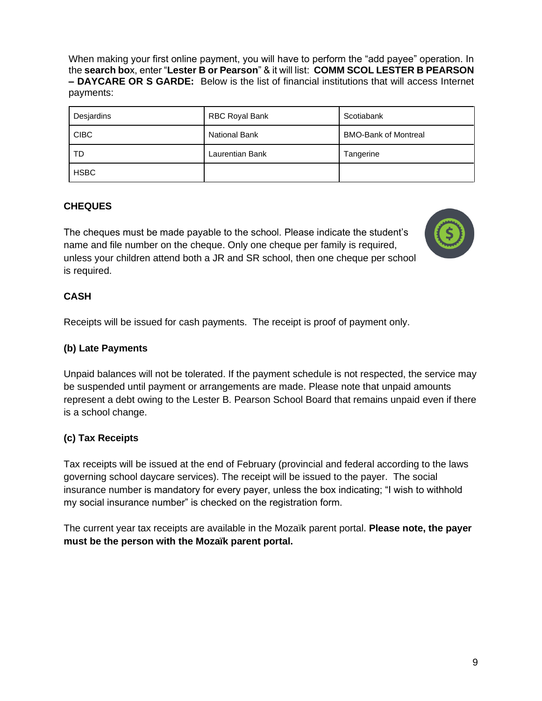When making your first online payment, you will have to perform the "add payee" operation. In the **search bo**x, enter "**Lester B or Pearson**" & it will list: **COMM SCOL LESTER B PEARSON – DAYCARE OR S GARDE:** Below is the list of financial institutions that will access Internet payments:

| Desjardins  | RBC Royal Bank       | Scotiabank                  |
|-------------|----------------------|-----------------------------|
| <b>CIBC</b> | <b>National Bank</b> | <b>BMO-Bank of Montreal</b> |
| TD          | Laurentian Bank      | Tangerine                   |
| <b>HSBC</b> |                      |                             |

## **CHEQUES**

The cheques must be made payable to the school. Please indicate the student's name and file number on the cheque. Only one cheque per family is required, unless your children attend both a JR and SR school, then one cheque per school is required.



## **CASH**

Receipts will be issued for cash payments. The receipt is proof of payment only.

## **(b) Late Payments**

Unpaid balances will not be tolerated. If the payment schedule is not respected, the service may be suspended until payment or arrangements are made. Please note that unpaid amounts represent a debt owing to the Lester B. Pearson School Board that remains unpaid even if there is a school change.

## **(c) Tax Receipts**

Tax receipts will be issued at the end of February (provincial and federal according to the laws governing school daycare services). The receipt will be issued to the payer. The social insurance number is mandatory for every payer, unless the box indicating; "I wish to withhold my social insurance number" is checked on the registration form.

The current year tax receipts are available in the Mozaïk parent portal. **Please note, the payer must be the person with the Mozaïk parent portal.**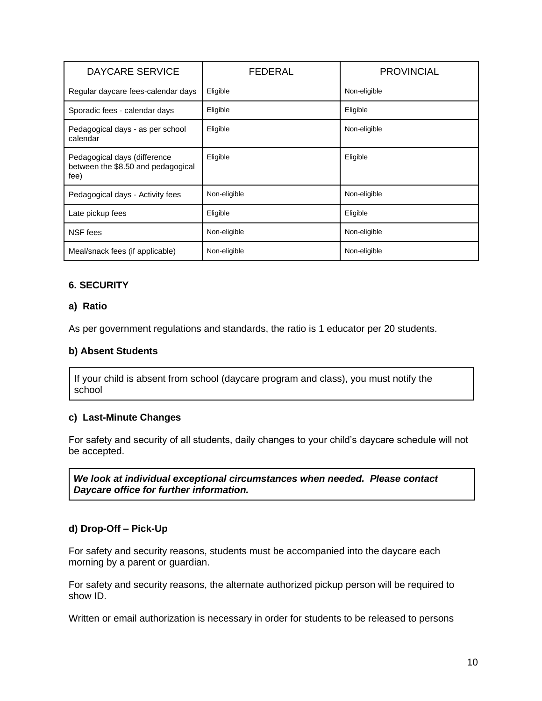| <b>DAYCARE SERVICE</b>                                                     | <b>FEDERAL</b> | <b>PROVINCIAL</b> |
|----------------------------------------------------------------------------|----------------|-------------------|
| Regular daycare fees-calendar days                                         | Eligible       | Non-eligible      |
| Sporadic fees - calendar days                                              | Eligible       | Eligible          |
| Pedagogical days - as per school<br>calendar                               | Eligible       | Non-eligible      |
| Pedagogical days (difference<br>between the \$8.50 and pedagogical<br>fee) | Eligible       | Eligible          |
| Pedagogical days - Activity fees                                           | Non-eligible   | Non-eligible      |
| Late pickup fees                                                           | Eligible       | Eligible          |
| NSF fees                                                                   | Non-eligible   | Non-eligible      |
| Meal/snack fees (if applicable)                                            | Non-eligible   | Non-eligible      |

## **6. SECURITY**

#### **a) Ratio**

As per government regulations and standards, the ratio is 1 educator per 20 students.

#### **b) Absent Students**

If your child is absent from school (daycare program and class), you must notify the school

#### **c) Last-Minute Changes**

For safety and security of all students, daily changes to your child's daycare schedule will not be accepted.

*We look at individual exceptional circumstances when needed. Please contact Daycare office for further information.*

#### **d) Drop-Off – Pick-Up**

For safety and security reasons, students must be accompanied into the daycare each morning by a parent or guardian.

For safety and security reasons, the alternate authorized pickup person will be required to show ID.

Written or email authorization is necessary in order for students to be released to persons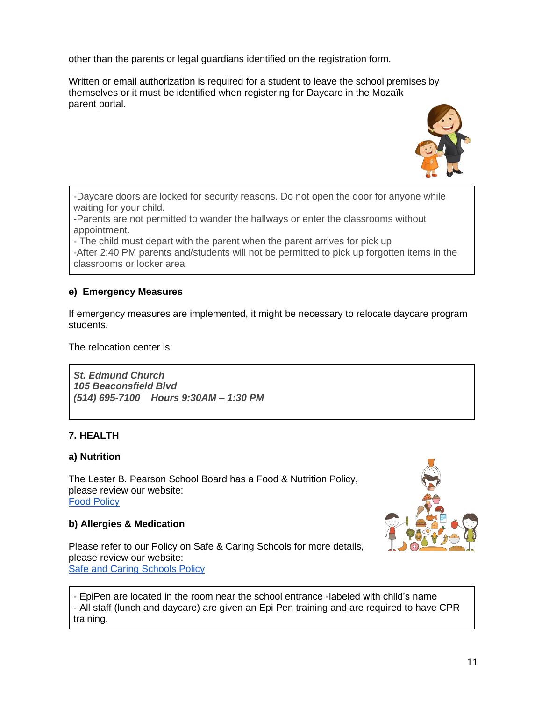other than the parents or legal guardians identified on the registration form.

Written or email authorization is required for a student to leave the school premises by themselves or it must be identified when registering for Daycare in the Mozaïk parent portal.



-Daycare doors are locked for security reasons. Do not open the door for anyone while waiting for your child.

-Parents are not permitted to wander the hallways or enter the classrooms without appointment.

- The child must depart with the parent when the parent arrives for pick up -After 2:40 PM parents and/students will not be permitted to pick up forgotten items in the classrooms or locker area

## **e) Emergency Measures**

If emergency measures are implemented, it might be necessary to relocate daycare program students.

The relocation center is:

*St. Edmund Church 105 Beaconsfield Blvd (514) 695-7100 Hours 9:30AM – 1:30 PM*

#### **7. HEALTH**

#### **a) Nutrition**

The Lester B. Pearson School Board has a Food & Nutrition Policy, please review our website: [Food Policy](http://www.lbpsb.qc.ca/content/policies/FoodPolicy2_5.pdf)

#### **b) Allergies & Medication**

Please refer to our Policy on Safe & Caring Schools for more details, please review our website: [Safe and Caring Schools Policy](http://www.lbpsb.qc.ca/content/policies/Policy%20on%20Safe%20and%20Caring%20Schools_Nov%202016-v6_asof2017JAN11.pdf)



- EpiPen are located in the room near the school entrance -labeled with child's name - All staff (lunch and daycare) are given an Epi Pen training and are required to have CPR training.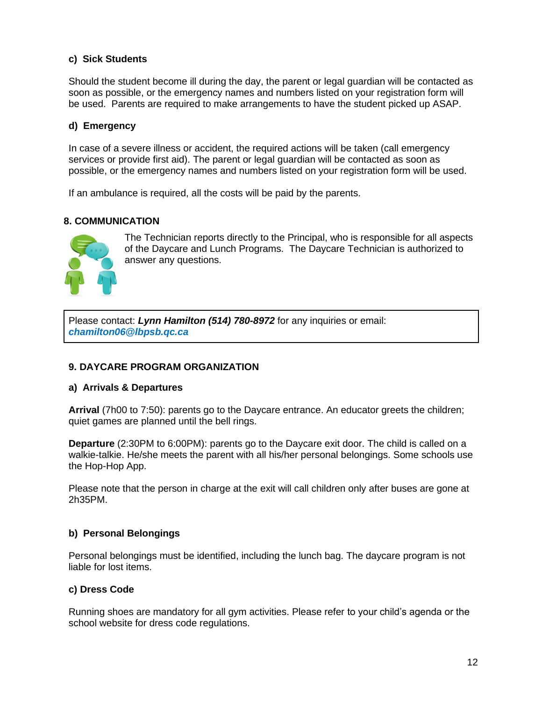#### **c) Sick Students**

Should the student become ill during the day, the parent or legal guardian will be contacted as soon as possible, or the emergency names and numbers listed on your registration form will be used. Parents are required to make arrangements to have the student picked up ASAP.

#### **d) Emergency**

In case of a severe illness or accident, the required actions will be taken (call emergency services or provide first aid). The parent or legal guardian will be contacted as soon as possible, or the emergency names and numbers listed on your registration form will be used.

If an ambulance is required, all the costs will be paid by the parents.

#### **8. COMMUNICATION**



The Technician reports directly to the Principal, who is responsible for all aspects of the Daycare and Lunch Programs. The Daycare Technician is authorized to answer any questions.

Please contact: *Lynn Hamilton (514) 780-8972* for any inquiries or email: *chamilton06@lbpsb.qc.ca*

#### **9. DAYCARE PROGRAM ORGANIZATION**

#### **a) Arrivals & Departures**

**Arrival** (7h00 to 7:50): parents go to the Daycare entrance. An educator greets the children; quiet games are planned until the bell rings.

**Departure** (2:30PM to 6:00PM): parents go to the Daycare exit door. The child is called on a walkie-talkie. He/she meets the parent with all his/her personal belongings. Some schools use the Hop-Hop App.

Please note that the person in charge at the exit will call children only after buses are gone at 2h35PM.

#### **b) Personal Belongings**

Personal belongings must be identified, including the lunch bag. The daycare program is not liable for lost items.

#### **c) Dress Code**

Running shoes are mandatory for all gym activities. Please refer to your child's agenda or the school website for dress code regulations.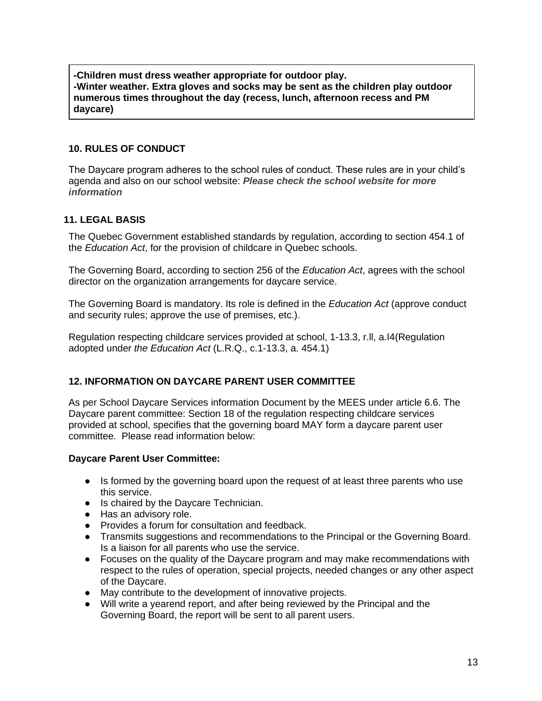**-Children must dress weather appropriate for outdoor play. -Winter weather. Extra gloves and socks may be sent as the children play outdoor numerous times throughout the day (recess, lunch, afternoon recess and PM daycare)**

#### **10. RULES OF CONDUCT**

The Daycare program adheres to the school rules of conduct. These rules are in your child's agenda and also on our school website: *Please check the school website for more information*

## **11. LEGAL BASIS**

The Quebec Government established standards by regulation, according to section 454.1 of the *Education Act*, for the provision of childcare in Quebec schools.

The Governing Board, according to section 256 of the *Education Act*, agrees with the school director on the organization arrangements for daycare service.

The Governing Board is mandatory. Its role is defined in the *Education Act* (approve conduct and security rules; approve the use of premises, etc.).

Regulation respecting childcare services provided at school, 1-13.3, r.ll, a.I4(Regulation adopted under *the Education Act* (L.R.Q., c.1-13.3, a. 454.1)

## **12. INFORMATION ON DAYCARE PARENT USER COMMITTEE**

As per School Daycare Services information Document by the MEES under article 6.6. The Daycare parent committee: Section 18 of the regulation respecting childcare services provided at school, specifies that the governing board MAY form a daycare parent user committee. Please read information below:

#### **Daycare Parent User Committee:**

- Is formed by the governing board upon the request of at least three parents who use this service.
- Is chaired by the Daycare Technician.
- Has an advisory role.
- Provides a forum for consultation and feedback.
- Transmits suggestions and recommendations to the Principal or the Governing Board. Is a liaison for all parents who use the service.
- Focuses on the quality of the Daycare program and may make recommendations with respect to the rules of operation, special projects, needed changes or any other aspect of the Daycare.
- May contribute to the development of innovative projects.
- Will write a yearend report, and after being reviewed by the Principal and the Governing Board, the report will be sent to all parent users.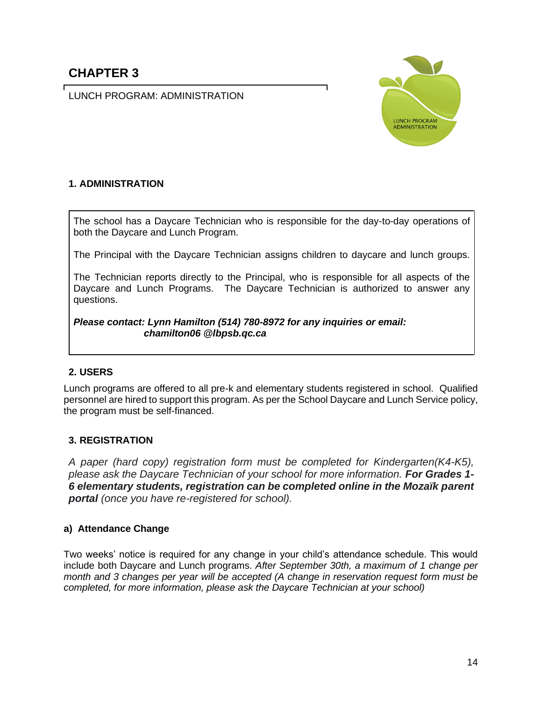LUNCH PROGRAM: ADMINISTRATION



## **1. ADMINISTRATION**

The school has a Daycare Technician who is responsible for the day-to-day operations of both the Daycare and Lunch Program.

The Principal with the Daycare Technician assigns children to daycare and lunch groups.

The Technician reports directly to the Principal, who is responsible for all aspects of the Daycare and Lunch Programs. The Daycare Technician is authorized to answer any questions.

*Please contact: Lynn Hamilton (514) 780-8972 for any inquiries or email: chamilton06 @lbpsb.qc.ca*

## **2. USERS**

Lunch programs are offered to all pre-k and elementary students registered in school. Qualified personnel are hired to support this program. As per the School Daycare and Lunch Service policy, the program must be self-financed.

## **3. REGISTRATION**

*A paper (hard copy) registration form must be completed for Kindergarten(K4-K5), please ask the Daycare Technician of your school for more information. For Grades 1- 6 elementary students, registration can be completed online in the Mozaïk parent portal (once you have re-registered for school).*

## **a) Attendance Change**

Two weeks' notice is required for any change in your child's attendance schedule. This would include both Daycare and Lunch programs. *After September 30th, a maximum of 1 change per month and 3 changes per year will be accepted (A change in reservation request form must be completed, for more information, please ask the Daycare Technician at your school)*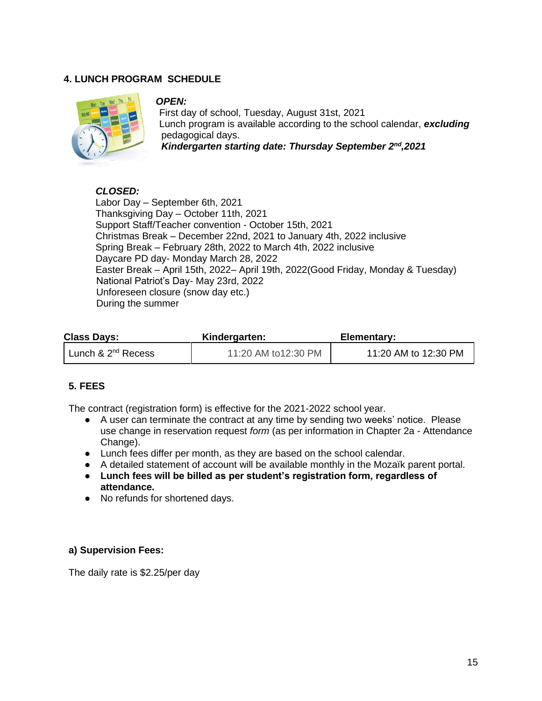## **4. LUNCH PROGRAM SCHEDULE**



#### *OPEN:*

First day of school, Tuesday, August 31st, 2021 Lunch program is available according to the school calendar, *excluding*  pedagogical days. *Kindergarten starting date: Thursday September 2nd,2021*

## *CLOSED:*

Labor Day – September 6th, 2021 Thanksgiving Day – October 11th, 2021 Support Staff/Teacher convention - October 15th, 2021 Christmas Break – December 22nd, 2021 to January 4th, 2022 inclusive Spring Break – February 28th, 2022 to March 4th, 2022 inclusive Daycare PD day- Monday March 28, 2022 Easter Break – April 15th, 2022– April 19th, 2022(Good Friday, Monday & Tuesday) National Patriot's Day- May 23rd, 2022 Unforeseen closure (snow day etc.) During the summer

| <b>Class Days:</b>             | Kindergarten:       | Elementary:          |
|--------------------------------|---------------------|----------------------|
| Lunch & 2 <sup>nd</sup> Recess | 11:20 AM to12:30 PM | 11:20 AM to 12:30 PM |

## **5. FEES**

The contract (registration form) is effective for the 2021-2022 school year.

- A user can terminate the contract at any time by sending two weeks' notice. Please use change in reservation request *form* (as per information in Chapter 2a - Attendance Change).
- Lunch fees differ per month, as they are based on the school calendar.
- A detailed statement of account will be available monthly in the Mozaïk parent portal.
- **Lunch fees will be billed as per student's registration form, regardless of attendance.**
- No refunds for shortened days.

#### **a) Supervision Fees:**

The daily rate is \$2.25/per day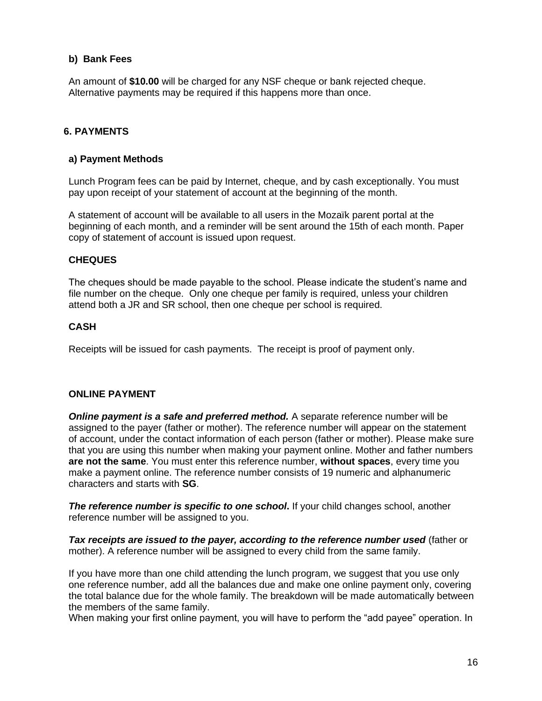#### **b) Bank Fees**

An amount of **\$10.00** will be charged for any NSF cheque or bank rejected cheque. Alternative payments may be required if this happens more than once.

## **6. PAYMENTS**

#### **a) Payment Methods**

Lunch Program fees can be paid by Internet, cheque, and by cash exceptionally. You must pay upon receipt of your statement of account at the beginning of the month.

A statement of account will be available to all users in the Mozaïk parent portal at the beginning of each month, and a reminder will be sent around the 15th of each month. Paper copy of statement of account is issued upon request.

#### **CHEQUES**

The cheques should be made payable to the school. Please indicate the student's name and file number on the cheque. Only one cheque per family is required, unless your children attend both a JR and SR school, then one cheque per school is required.

#### **CASH**

Receipts will be issued for cash payments. The receipt is proof of payment only.

#### **ONLINE PAYMENT**

*Online payment is a safe and preferred method.* A separate reference number will be assigned to the payer (father or mother). The reference number will appear on the statement of account, under the contact information of each person (father or mother). Please make sure that you are using this number when making your payment online. Mother and father numbers **are not the same**. You must enter this reference number, **without spaces**, every time you make a payment online. The reference number consists of 19 numeric and alphanumeric characters and starts with **SG**.

*The reference number is specific to one school***.** If your child changes school, another reference number will be assigned to you.

*Tax receipts are issued to the payer, according to the reference number used* (father or mother). A reference number will be assigned to every child from the same family.

If you have more than one child attending the lunch program, we suggest that you use only one reference number, add all the balances due and make one online payment only, covering the total balance due for the whole family. The breakdown will be made automatically between the members of the same family.

When making your first online payment, you will have to perform the "add payee" operation. In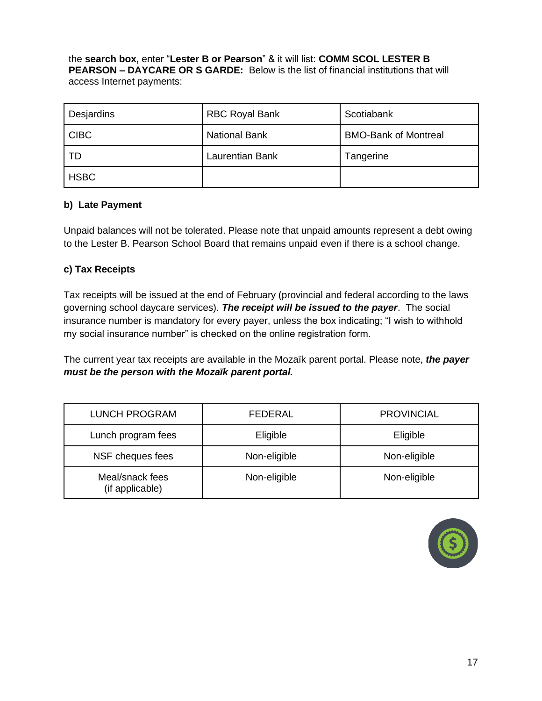the **search box,** enter "**Lester B or Pearson**" & it will list: **COMM SCOL LESTER B PEARSON – DAYCARE OR S GARDE:** Below is the list of financial institutions that will access Internet payments:

| Desjardins  | <b>RBC Royal Bank</b>  | Scotiabank                  |
|-------------|------------------------|-----------------------------|
| <b>CIBC</b> | <b>National Bank</b>   | <b>BMO-Bank of Montreal</b> |
| TD          | <b>Laurentian Bank</b> | Tangerine                   |
| <b>HSBC</b> |                        |                             |

## **b) Late Payment**

Unpaid balances will not be tolerated. Please note that unpaid amounts represent a debt owing to the Lester B. Pearson School Board that remains unpaid even if there is a school change.

## **c) Tax Receipts**

Tax receipts will be issued at the end of February (provincial and federal according to the laws governing school daycare services). *The receipt will be issued to the payer*. The social insurance number is mandatory for every payer, unless the box indicating; "I wish to withhold my social insurance number" is checked on the online registration form.

The current year tax receipts are available in the Mozaïk parent portal. Please note, *the payer must be the person with the Mozaïk parent portal.* 

| <b>LUNCH PROGRAM</b>               | FEDERAL      | <b>PROVINCIAL</b> |
|------------------------------------|--------------|-------------------|
| Lunch program fees                 | Eligible     | Eligible          |
| NSF cheques fees                   | Non-eligible | Non-eligible      |
| Meal/snack fees<br>(if applicable) | Non-eligible | Non-eligible      |

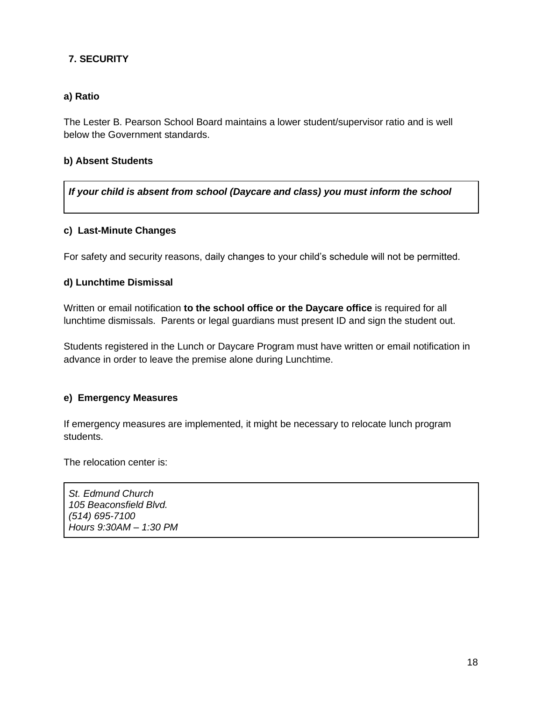## **7. SECURITY**

## **a) Ratio**

The Lester B. Pearson School Board maintains a lower student/supervisor ratio and is well below the Government standards.

## **b) Absent Students**

*If your child is absent from school (Daycare and class) you must inform the school*

## **c) Last-Minute Changes**

For safety and security reasons, daily changes to your child's schedule will not be permitted.

## **d) Lunchtime Dismissal**

Written or email notification **to the school office or the Daycare office** is required for all lunchtime dismissals. Parents or legal guardians must present ID and sign the student out.

Students registered in the Lunch or Daycare Program must have written or email notification in advance in order to leave the premise alone during Lunchtime.

## **e) Emergency Measures**

If emergency measures are implemented, it might be necessary to relocate lunch program students.

The relocation center is:

*St. Edmund Church 105 Beaconsfield Blvd. (514) 695-7100 Hours 9:30AM – 1:30 PM*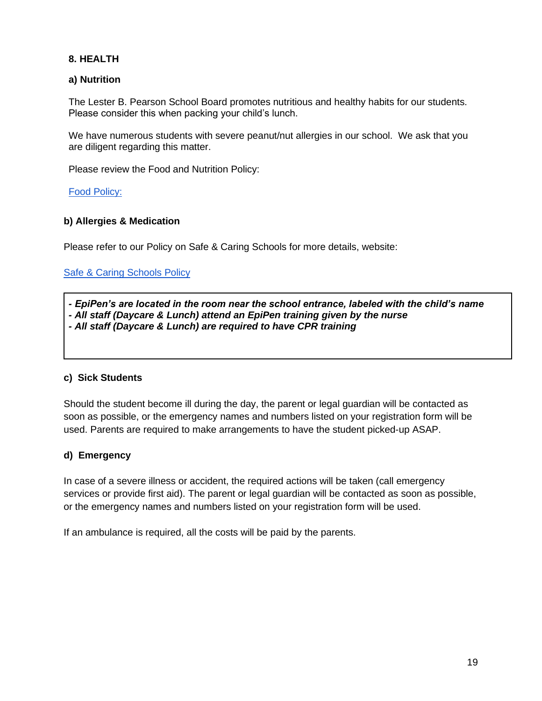## **8. HEALTH**

## **a) Nutrition**

The Lester B. Pearson School Board promotes nutritious and healthy habits for our students. Please consider this when packing your child's lunch.

We have numerous students with severe peanut/nut allergies in our school. We ask that you are diligent regarding this matter.

Please review the Food and Nutrition Policy:

#### [Food Policy:](http://www.lbpsb.qc.ca/content/policies/FoodPolicy2_5.pdf)

#### **b) Allergies & Medication**

Please refer to our Policy on Safe & Caring Schools for more details, website:

[Safe & Caring Schools Policy](http://www.lbpsb.qc.ca/content/policies/Policy%20on%20Safe%20and%20Caring%20Schools_Nov%202016-v6_asof2017JAN11.pdf)

*- EpiPen's are located in the room near the school entrance, labeled with the child's name - All staff (Daycare & Lunch) attend an EpiPen training given by the nurse - All staff (Daycare & Lunch) are required to have CPR training*

#### **c) Sick Students**

Should the student become ill during the day, the parent or legal guardian will be contacted as soon as possible, or the emergency names and numbers listed on your registration form will be used. Parents are required to make arrangements to have the student picked-up ASAP.

#### **d) Emergency**

In case of a severe illness or accident, the required actions will be taken (call emergency services or provide first aid). The parent or legal guardian will be contacted as soon as possible, or the emergency names and numbers listed on your registration form will be used.

If an ambulance is required, all the costs will be paid by the parents.